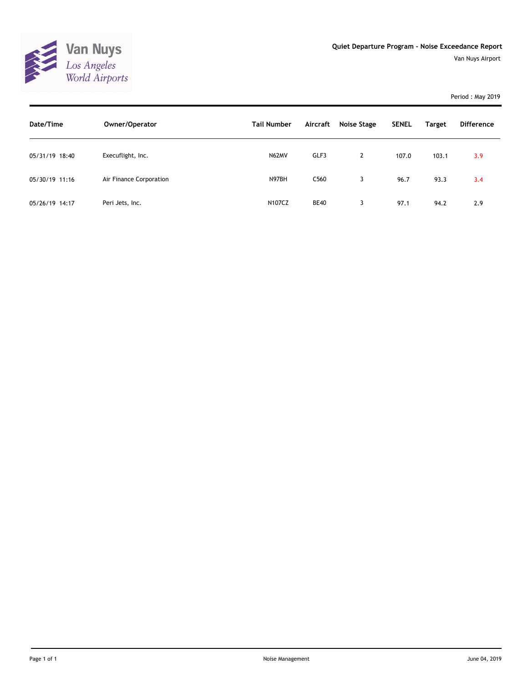

Period : May 2019

| Date/Time      | Owner/Operator          | <b>Tail Number</b> | Aircraft         | <b>Noise Stage</b> | <b>SENEL</b> | <b>Target</b> | <b>Difference</b> |
|----------------|-------------------------|--------------------|------------------|--------------------|--------------|---------------|-------------------|
| 05/31/19 18:40 | Execuflight, Inc.       | N62MV              | GLF3             | $\overline{2}$     | 107.0        | 103.1         | 3.9               |
| 05/30/19 11:16 | Air Finance Corporation | N97BH              | C <sub>560</sub> | 3                  | 96.7         | 93.3          | 3.4               |
| 05/26/19 14:17 | Peri Jets, Inc.         | N107CZ             | <b>BE40</b>      | 3                  | 97.1         | 94.2          | 2.9               |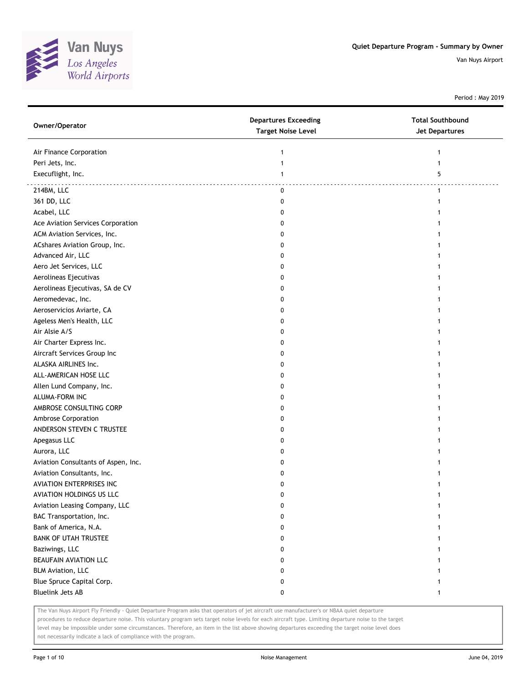

Period : May 2019

| Owner/Operator                      | <b>Departures Exceeding</b><br><b>Target Noise Level</b> | <b>Total Southbound</b><br><b>Jet Departures</b> |
|-------------------------------------|----------------------------------------------------------|--------------------------------------------------|
| Air Finance Corporation             | 1                                                        | 1                                                |
| Peri Jets, Inc.                     | $\mathbf{1}$                                             | $\mathbf{1}$                                     |
| Execuflight, Inc.                   | $\mathbf{1}$                                             | 5                                                |
| 214BM, LLC                          | 0                                                        | $\mathbf{1}$                                     |
| 361 DD, LLC                         | 0                                                        | 1                                                |
| Acabel, LLC                         | 0                                                        |                                                  |
| Ace Aviation Services Corporation   | 0                                                        |                                                  |
| ACM Aviation Services, Inc.         | 0                                                        |                                                  |
| ACshares Aviation Group, Inc.       | 0                                                        |                                                  |
| Advanced Air, LLC                   | 0                                                        |                                                  |
| Aero Jet Services, LLC              | 0                                                        |                                                  |
| Aerolineas Ejecutivas               | 0                                                        |                                                  |
| Aerolineas Ejecutivas, SA de CV     | 0                                                        |                                                  |
| Aeromedevac, Inc.                   | 0                                                        |                                                  |
| Aeroservicios Aviarte, CA           | 0                                                        |                                                  |
| Ageless Men's Health, LLC           | 0                                                        |                                                  |
| Air Alsie A/S                       | 0                                                        |                                                  |
| Air Charter Express Inc.            | 0                                                        |                                                  |
| Aircraft Services Group Inc         | 0                                                        |                                                  |
| ALASKA AIRLINES Inc.                | 0                                                        |                                                  |
| ALL-AMERICAN HOSE LLC               |                                                          |                                                  |
| Allen Lund Company, Inc.            | 0<br>0                                                   |                                                  |
| ALUMA-FORM INC                      |                                                          |                                                  |
|                                     | 0                                                        |                                                  |
| AMBROSE CONSULTING CORP             | 0                                                        |                                                  |
| Ambrose Corporation                 | 0                                                        |                                                  |
| ANDERSON STEVEN C TRUSTEE           | 0                                                        |                                                  |
| Apegasus LLC                        | 0                                                        |                                                  |
| Aurora, LLC                         | 0                                                        |                                                  |
| Aviation Consultants of Aspen, Inc. | 0                                                        |                                                  |
| Aviation Consultants, Inc.          | 0                                                        |                                                  |
| AVIATION ENTERPRISES INC            | 0                                                        |                                                  |
| AVIATION HOLDINGS US LLC            | 0                                                        |                                                  |
| Aviation Leasing Company, LLC       | 0                                                        | 1                                                |
| BAC Transportation, Inc.            | 0                                                        |                                                  |
| Bank of America, N.A.               | 0                                                        |                                                  |
| <b>BANK OF UTAH TRUSTEE</b>         | 0                                                        |                                                  |
| Baziwings, LLC                      | 0                                                        |                                                  |
| BEAUFAIN AVIATION LLC               | 0                                                        |                                                  |
| <b>BLM Aviation, LLC</b>            | 0                                                        |                                                  |
| Blue Spruce Capital Corp.           | 0                                                        | 1                                                |
| <b>Bluelink Jets AB</b>             | 0                                                        | $\mathbf{1}$                                     |

The Van Nuys Airport Fly Friendly - Quiet Departure Program asks that operators of jet aircraft use manufacturer's or NBAA quiet departure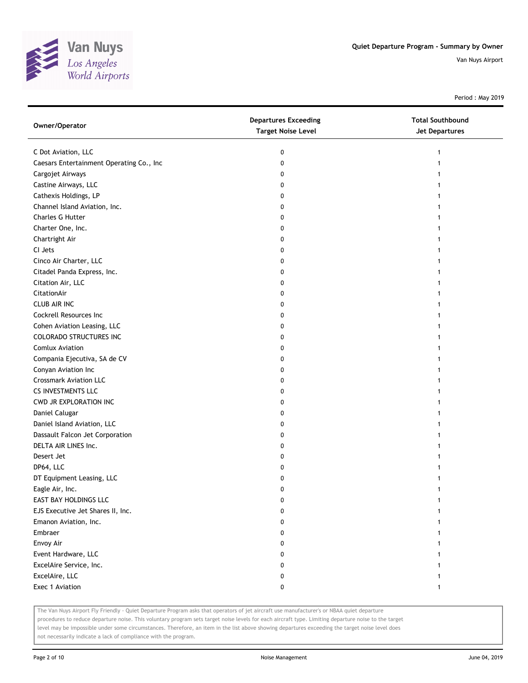

Period : May 2019

| Owner/Operator                           | <b>Departures Exceeding</b><br><b>Target Noise Level</b> | <b>Total Southbound</b><br><b>Jet Departures</b> |
|------------------------------------------|----------------------------------------------------------|--------------------------------------------------|
| C Dot Aviation, LLC                      | 0                                                        | 1                                                |
| Caesars Entertainment Operating Co., Inc | 0                                                        |                                                  |
| Cargojet Airways                         | 0                                                        |                                                  |
| Castine Airways, LLC                     | 0                                                        |                                                  |
| Cathexis Holdings, LP                    | 0                                                        |                                                  |
| Channel Island Aviation, Inc.            | 0                                                        |                                                  |
| <b>Charles G Hutter</b>                  | 0                                                        |                                                  |
| Charter One, Inc.                        | 0                                                        |                                                  |
| Chartright Air                           | 0                                                        |                                                  |
| CI Jets                                  | 0                                                        |                                                  |
| Cinco Air Charter, LLC                   | 0                                                        |                                                  |
| Citadel Panda Express, Inc.              | 0                                                        |                                                  |
| Citation Air, LLC                        | 0                                                        |                                                  |
| CitationAir                              | 0                                                        |                                                  |
| <b>CLUB AIR INC</b>                      | 0                                                        |                                                  |
| Cockrell Resources Inc                   | 0                                                        |                                                  |
| Cohen Aviation Leasing, LLC              | 0                                                        | 1                                                |
| <b>COLORADO STRUCTURES INC</b>           | 0                                                        |                                                  |
| <b>Comlux Aviation</b>                   | 0                                                        |                                                  |
| Compania Ejecutiva, SA de CV             | 0                                                        |                                                  |
| Conyan Aviation Inc                      | 0                                                        |                                                  |
| <b>Crossmark Aviation LLC</b>            | 0                                                        |                                                  |
| CS INVESTMENTS LLC                       | 0                                                        |                                                  |
| CWD JR EXPLORATION INC                   | 0                                                        |                                                  |
| Daniel Calugar                           | 0                                                        |                                                  |
| Daniel Island Aviation, LLC              | 0                                                        |                                                  |
| Dassault Falcon Jet Corporation          | 0                                                        |                                                  |
| DELTA AIR LINES Inc.                     | 0                                                        |                                                  |
| Desert Jet                               | 0                                                        |                                                  |
| DP64, LLC                                | 0                                                        |                                                  |
| DT Equipment Leasing, LLC                | 0                                                        |                                                  |
| Eagle Air, Inc.                          | 0                                                        |                                                  |
| EAST BAY HOLDINGS LLC                    | 0                                                        |                                                  |
| EJS Executive Jet Shares II, Inc.        | 0                                                        |                                                  |
| Emanon Aviation, Inc.                    | 0                                                        |                                                  |
| Embraer                                  | 0                                                        |                                                  |
| Envoy Air                                | 0                                                        |                                                  |
| Event Hardware, LLC                      | 0                                                        |                                                  |
| ExcelAire Service, Inc.                  | 0                                                        |                                                  |
| ExcelAire, LLC                           | 0                                                        |                                                  |
| Exec 1 Aviation                          | 0                                                        | 1                                                |

The Van Nuys Airport Fly Friendly - Quiet Departure Program asks that operators of jet aircraft use manufacturer's or NBAA quiet departure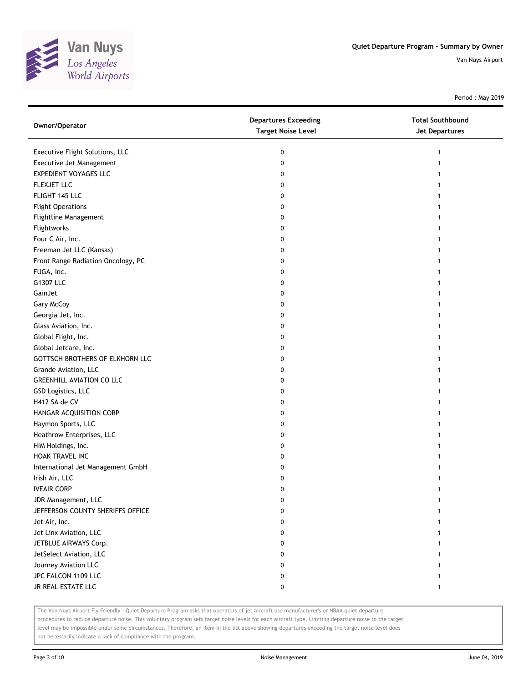

Period : May 2019

| Owner/Operator                     | <b>Departures Exceeding</b><br><b>Target Noise Level</b> | <b>Total Southbound</b><br>Jet Departures |
|------------------------------------|----------------------------------------------------------|-------------------------------------------|
| Executive Flight Solutions, LLC    | 0                                                        | 1                                         |
| Executive Jet Management           | 0                                                        |                                           |
| <b>EXPEDIENT VOYAGES LLC</b>       | 0                                                        |                                           |
| FLEXJET LLC                        | 0                                                        |                                           |
| FLIGHT 145 LLC                     | 0                                                        |                                           |
| <b>Flight Operations</b>           | 0                                                        |                                           |
| Flightline Management              | 0                                                        | 1                                         |
| Flightworks                        | 0                                                        |                                           |
| Four C Air, Inc.                   | 0                                                        |                                           |
| Freeman Jet LLC (Kansas)           | 0                                                        |                                           |
| Front Range Radiation Oncology, PC | 0                                                        |                                           |
| FUGA, Inc.                         | 0                                                        |                                           |
| G1307 LLC                          | 0                                                        |                                           |
| GainJet                            | 0                                                        |                                           |
| Gary McCoy                         | 0                                                        |                                           |
| Georgia Jet, Inc.                  | 0                                                        |                                           |
| Glass Aviation, Inc.               | 0                                                        |                                           |
| Global Flight, Inc.                | 0                                                        |                                           |
| Global Jetcare, Inc.               | 0                                                        |                                           |
| GOTTSCH BROTHERS OF ELKHORN LLC    | 0                                                        |                                           |
| Grande Aviation, LLC               | 0                                                        |                                           |
| <b>GREENHILL AVIATION CO LLC</b>   | 0                                                        |                                           |
| GSD Logistics, LLC                 | 0                                                        |                                           |
| H412 SA de CV                      | 0                                                        |                                           |
| HANGAR ACQUISITION CORP            | 0                                                        |                                           |
| Haymon Sports, LLC                 | 0                                                        |                                           |
| Heathrow Enterprises, LLC          | 0                                                        |                                           |
| HIM Holdings, Inc.                 | 0                                                        |                                           |
| HOAK TRAVEL INC                    | 0                                                        |                                           |
| International Jet Management GmbH  | 0                                                        |                                           |
| Irish Air, LLC                     | 0                                                        |                                           |
| <b>IVEAIR CORP</b>                 | 0                                                        |                                           |
| JDR Management, LLC                | 0                                                        |                                           |
| JEFFERSON COUNTY SHERIFFS OFFICE   | 0                                                        |                                           |
| Jet Air, Inc.                      | 0                                                        |                                           |
| Jet Linx Aviation, LLC             | 0                                                        |                                           |
| JETBLUE AIRWAYS Corp.              | 0                                                        |                                           |
| JetSelect Aviation, LLC            | 0                                                        |                                           |
| Journey Aviation LLC               | 0                                                        |                                           |
| JPC FALCON 1109 LLC                | 0                                                        |                                           |
| JR REAL ESTATE LLC                 | 0                                                        | 1                                         |

The Van Nuys Airport Fly Friendly - Quiet Departure Program asks that operators of jet aircraft use manufacturer's or NBAA quiet departure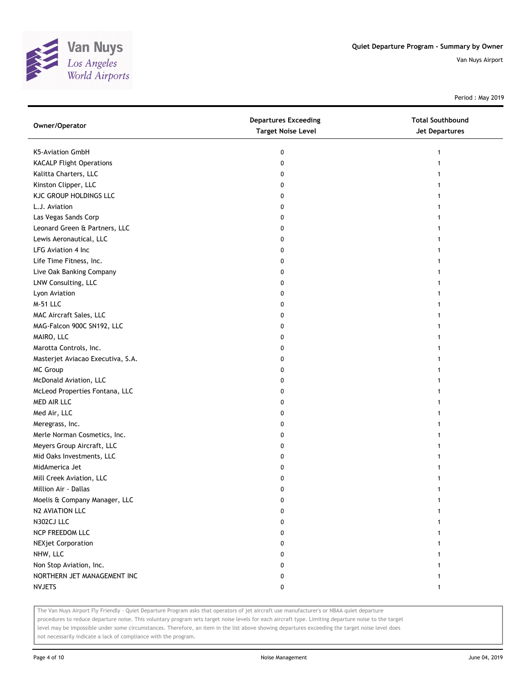

Period : May 2019

| Owner/Operator                    | <b>Departures Exceeding</b><br><b>Target Noise Level</b> | <b>Total Southbound</b><br><b>Jet Departures</b> |
|-----------------------------------|----------------------------------------------------------|--------------------------------------------------|
| K5-Aviation GmbH                  | 0                                                        |                                                  |
| <b>KACALP Flight Operations</b>   | 0                                                        |                                                  |
| Kalitta Charters, LLC             | 0                                                        |                                                  |
| Kinston Clipper, LLC              | 0                                                        |                                                  |
| KJC GROUP HOLDINGS LLC            | 0                                                        |                                                  |
| L.J. Aviation                     | 0                                                        |                                                  |
| Las Vegas Sands Corp              | 0                                                        |                                                  |
| Leonard Green & Partners, LLC     | 0                                                        |                                                  |
| Lewis Aeronautical, LLC           | 0                                                        |                                                  |
| LFG Aviation 4 Inc                | 0                                                        |                                                  |
| Life Time Fitness, Inc.           | 0                                                        |                                                  |
| Live Oak Banking Company          | 0                                                        |                                                  |
| LNW Consulting, LLC               | 0                                                        |                                                  |
| Lyon Aviation                     | 0                                                        |                                                  |
| <b>M-51 LLC</b>                   | 0                                                        |                                                  |
| MAC Aircraft Sales, LLC           | 0                                                        |                                                  |
| MAG-Falcon 900C SN192, LLC        | 0                                                        |                                                  |
| MAIRO, LLC                        | 0                                                        |                                                  |
| Marotta Controls, Inc.            | 0                                                        |                                                  |
| Masterjet Aviacao Executiva, S.A. | 0                                                        |                                                  |
| MC Group                          | 0                                                        |                                                  |
| McDonald Aviation, LLC            | 0                                                        |                                                  |
| McLeod Properties Fontana, LLC    | 0                                                        |                                                  |
| MED AIR LLC                       | 0                                                        |                                                  |
| Med Air, LLC                      | 0                                                        |                                                  |
| Meregrass, Inc.                   | 0                                                        |                                                  |
| Merle Norman Cosmetics, Inc.      | 0                                                        |                                                  |
| Meyers Group Aircraft, LLC        | 0                                                        |                                                  |
| Mid Oaks Investments, LLC         | 0                                                        |                                                  |
| MidAmerica Jet                    | 0                                                        |                                                  |
| Mill Creek Aviation, LLC          | 0                                                        |                                                  |
| Million Air - Dallas              | 0                                                        |                                                  |
| Moelis & Company Manager, LLC     | 0                                                        |                                                  |
| N2 AVIATION LLC                   | 0                                                        |                                                  |
| N302CJ LLC                        | 0                                                        |                                                  |
| NCP FREEDOM LLC                   | 0                                                        |                                                  |
| <b>NEXjet Corporation</b>         | 0                                                        |                                                  |
| NHW, LLC                          | 0                                                        |                                                  |
| Non Stop Aviation, Inc.           | 0                                                        |                                                  |
| NORTHERN JET MANAGEMENT INC       | 0                                                        |                                                  |
| <b>NVJETS</b>                     | 0                                                        | 1                                                |

The Van Nuys Airport Fly Friendly - Quiet Departure Program asks that operators of jet aircraft use manufacturer's or NBAA quiet departure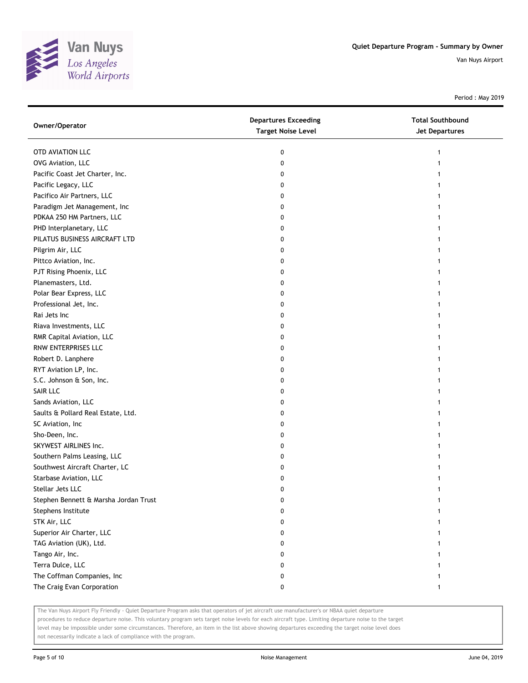

Period : May 2019

| Owner/Operator                        | <b>Departures Exceeding</b><br><b>Target Noise Level</b> | <b>Total Southbound</b><br>Jet Departures |
|---------------------------------------|----------------------------------------------------------|-------------------------------------------|
| OTD AVIATION LLC                      | 0                                                        |                                           |
| OVG Aviation, LLC                     | 0                                                        |                                           |
| Pacific Coast Jet Charter, Inc.       | 0                                                        |                                           |
| Pacific Legacy, LLC                   | 0                                                        |                                           |
| Pacifico Air Partners, LLC            | 0                                                        |                                           |
| Paradigm Jet Management, Inc          | 0                                                        |                                           |
| PDKAA 250 HM Partners, LLC            | 0                                                        |                                           |
| PHD Interplanetary, LLC               | 0                                                        |                                           |
| PILATUS BUSINESS AIRCRAFT LTD         | 0                                                        |                                           |
| Pilgrim Air, LLC                      | 0                                                        |                                           |
| Pittco Aviation, Inc.                 | 0                                                        |                                           |
| PJT Rising Phoenix, LLC               | 0                                                        |                                           |
| Planemasters, Ltd.                    | 0                                                        |                                           |
| Polar Bear Express, LLC               | 0                                                        |                                           |
| Professional Jet, Inc.                | 0                                                        |                                           |
| Rai Jets Inc                          | 0                                                        |                                           |
| Riava Investments, LLC                | 0                                                        |                                           |
| RMR Capital Aviation, LLC             | 0                                                        |                                           |
| RNW ENTERPRISES LLC                   | 0                                                        |                                           |
| Robert D. Lanphere                    | 0                                                        |                                           |
| RYT Aviation LP, Inc.                 | 0                                                        |                                           |
| S.C. Johnson & Son, Inc.              | 0                                                        |                                           |
| SAIR LLC                              | 0                                                        |                                           |
| Sands Aviation, LLC                   | 0                                                        |                                           |
| Saults & Pollard Real Estate, Ltd.    | 0                                                        |                                           |
| SC Aviation, Inc                      | 0                                                        |                                           |
| Sho-Deen, Inc.                        | 0                                                        |                                           |
| SKYWEST AIRLINES Inc.                 | 0                                                        |                                           |
| Southern Palms Leasing, LLC           | 0                                                        |                                           |
| Southwest Aircraft Charter, LC        | 0                                                        |                                           |
| Starbase Aviation, LLC                | 0                                                        |                                           |
| Stellar Jets LLC                      | 0                                                        |                                           |
| Stephen Bennett & Marsha Jordan Trust | 0                                                        |                                           |
| Stephens Institute                    | 0                                                        |                                           |
| STK Air, LLC                          | 0                                                        |                                           |
| Superior Air Charter, LLC             | 0                                                        |                                           |
| TAG Aviation (UK), Ltd.               | 0                                                        |                                           |
| Tango Air, Inc.                       | 0                                                        |                                           |
| Terra Dulce, LLC                      | 0                                                        |                                           |
| The Coffman Companies, Inc            | 0                                                        |                                           |
| The Craig Evan Corporation            | 0                                                        | 1                                         |

The Van Nuys Airport Fly Friendly - Quiet Departure Program asks that operators of jet aircraft use manufacturer's or NBAA quiet departure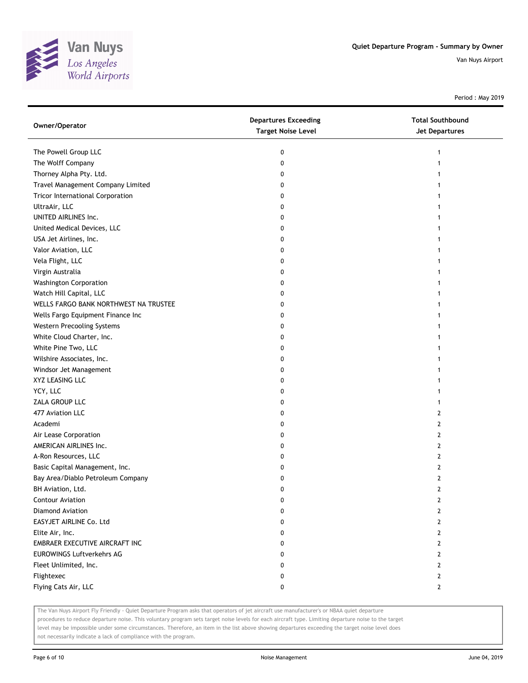

Period : May 2019

| Owner/Operator                          | <b>Departures Exceeding</b><br><b>Target Noise Level</b> | <b>Total Southbound</b><br>Jet Departures |
|-----------------------------------------|----------------------------------------------------------|-------------------------------------------|
| The Powell Group LLC                    | 0                                                        | 1                                         |
| The Wolff Company                       | 0                                                        |                                           |
| Thorney Alpha Pty. Ltd.                 | 0                                                        |                                           |
| Travel Management Company Limited       | 0                                                        |                                           |
| <b>Tricor International Corporation</b> | 0                                                        |                                           |
| UltraAir, LLC                           | 0                                                        |                                           |
| UNITED AIRLINES Inc.                    | 0                                                        |                                           |
| United Medical Devices, LLC             | 0                                                        |                                           |
| USA Jet Airlines, Inc.                  | 0                                                        |                                           |
| Valor Aviation, LLC                     | 0                                                        |                                           |
| Vela Flight, LLC                        | 0                                                        |                                           |
| Virgin Australia                        | 0                                                        |                                           |
| <b>Washington Corporation</b>           | 0                                                        |                                           |
| Watch Hill Capital, LLC                 | 0                                                        |                                           |
| WELLS FARGO BANK NORTHWEST NA TRUSTEE   | 0                                                        |                                           |
| Wells Fargo Equipment Finance Inc       | 0                                                        |                                           |
| Western Precooling Systems              | 0                                                        |                                           |
| White Cloud Charter, Inc.               | 0                                                        | 1                                         |
| White Pine Two, LLC                     | 0                                                        |                                           |
| Wilshire Associates, Inc.               | 0                                                        |                                           |
| Windsor Jet Management                  | 0                                                        |                                           |
| XYZ LEASING LLC                         | 0                                                        |                                           |
| YCY, LLC                                | 0                                                        |                                           |
| ZALA GROUP LLC                          | 0                                                        |                                           |
| 477 Aviation LLC                        | 0                                                        | 2                                         |
| Academi                                 | 0                                                        | 2                                         |
| Air Lease Corporation                   | 0                                                        | 2                                         |
| AMERICAN AIRLINES Inc.                  | 0                                                        | 2                                         |
| A-Ron Resources, LLC                    | 0                                                        | 2                                         |
| Basic Capital Management, Inc.          | 0                                                        | 2                                         |
| Bay Area/Diablo Petroleum Company       | 0                                                        | 2                                         |
| BH Aviation, Ltd.                       | 0                                                        | 2                                         |
| <b>Contour Aviation</b>                 | U                                                        | 2                                         |
| Diamond Aviation                        | 0                                                        | 2                                         |
| EASYJET AIRLINE Co. Ltd                 | 0                                                        | 2                                         |
| Elite Air, Inc.                         | 0                                                        | 2                                         |
| EMBRAER EXECUTIVE AIRCRAFT INC          | 0                                                        | 2                                         |
| <b>EUROWINGS Luftverkehrs AG</b>        | 0                                                        | 2                                         |
| Fleet Unlimited, Inc.                   | 0                                                        | 2                                         |
| Flightexec                              | 0                                                        | 2                                         |
| Flying Cats Air, LLC                    | 0                                                        | $\mathbf{2}$                              |

The Van Nuys Airport Fly Friendly - Quiet Departure Program asks that operators of jet aircraft use manufacturer's or NBAA quiet departure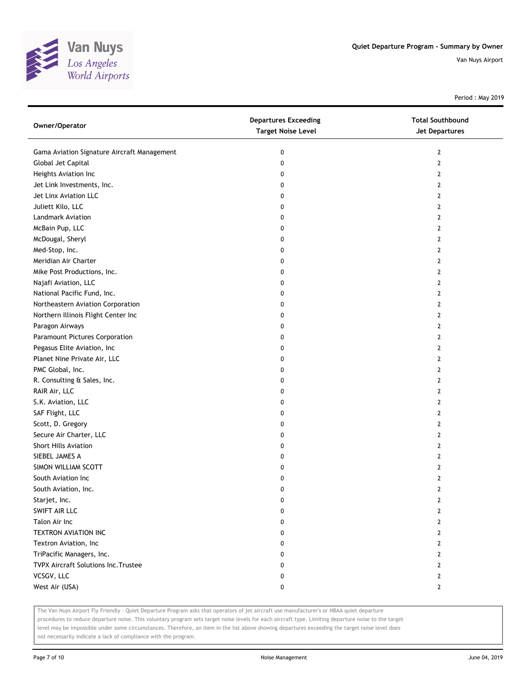

Period : May 2019

| Owner/Operator                              | <b>Departures Exceeding</b><br><b>Target Noise Level</b> | <b>Total Southbound</b><br><b>Jet Departures</b> |
|---------------------------------------------|----------------------------------------------------------|--------------------------------------------------|
| Gama Aviation Signature Aircraft Management | 0                                                        | $\overline{2}$                                   |
| Global Jet Capital                          | 0                                                        | $\mathbf{2}$                                     |
| Heights Aviation Inc                        | 0                                                        | 2                                                |
| Jet Link Investments, Inc.                  | 0                                                        | 2                                                |
| Jet Linx Aviation LLC                       | 0                                                        | 2                                                |
| Juliett Kilo, LLC                           | 0                                                        | $\mathbf{2}$                                     |
| Landmark Aviation                           | 0                                                        | 2                                                |
| McBain Pup, LLC                             | 0                                                        | 2                                                |
| McDougal, Sheryl                            | 0                                                        | 2                                                |
| Med-Stop, Inc.                              | 0                                                        | 2                                                |
| Meridian Air Charter                        | 0                                                        | 2                                                |
| Mike Post Productions, Inc.                 | 0                                                        | 2                                                |
| Najafi Aviation, LLC                        | 0                                                        | 2                                                |
| National Pacific Fund, Inc.                 | 0                                                        | 2                                                |
| Northeastern Aviation Corporation           | 0                                                        | 2                                                |
| Northern Illinois Flight Center Inc         | 0                                                        | 2                                                |
| Paragon Airways                             | 0                                                        | 2                                                |
| Paramount Pictures Corporation              | 0                                                        | 2                                                |
| Pegasus Elite Aviation, Inc                 | 0                                                        | 2                                                |
| Planet Nine Private Air, LLC                | 0                                                        | 2                                                |
| PMC Global, Inc.                            | 0                                                        | 2                                                |
| R. Consulting & Sales, Inc.                 | 0                                                        | 2                                                |
| RAIR Air, LLC                               | 0                                                        | 2                                                |
| S.K. Aviation, LLC                          | 0                                                        | 2                                                |
| SAF Flight, LLC                             | 0                                                        | 2                                                |
| Scott, D. Gregory                           | 0                                                        | 2                                                |
| Secure Air Charter, LLC                     | 0                                                        | 2                                                |
| Short Hills Aviation                        | 0                                                        | 2                                                |
| SIEBEL JAMES A                              | 0                                                        | 2                                                |
| SIMON WILLIAM SCOTT                         | 0                                                        | 2                                                |
| South Aviation Inc                          | 0                                                        | 2                                                |
| South Aviation, Inc.                        | 0                                                        | 2                                                |
| Starjet, Inc.                               | 0                                                        | 2                                                |
| SWIFT AIR LLC                               | 0                                                        | 2                                                |
| Talon Air Inc                               | 0                                                        | $\mathbf{2}$                                     |
| TEXTRON AVIATION INC                        | 0                                                        | $\mathbf{2}$                                     |
| Textron Aviation, Inc                       | 0                                                        | $\mathbf{2}$                                     |
| TriPacific Managers, Inc.                   | 0                                                        | $\mathbf{2}$                                     |
| TVPX Aircraft Solutions Inc. Trustee        | 0                                                        | 2                                                |
| VCSGV, LLC                                  | 0                                                        | $\mathbf{2}$                                     |
| West Air (USA)                              | 0                                                        | $\mathbf{2}$                                     |

The Van Nuys Airport Fly Friendly - Quiet Departure Program asks that operators of jet aircraft use manufacturer's or NBAA quiet departure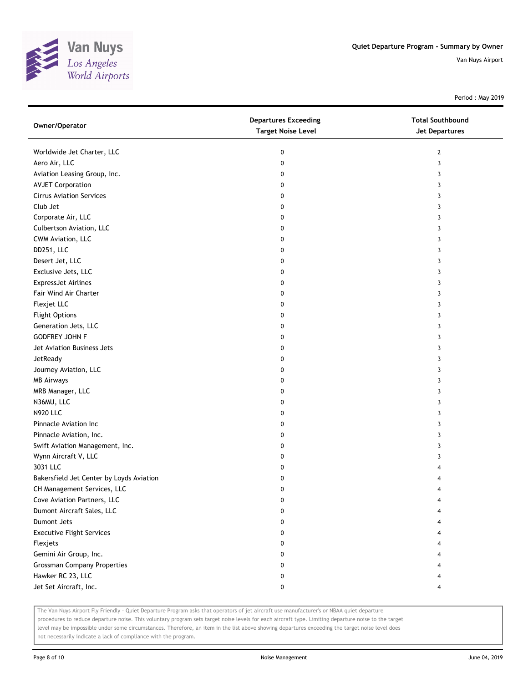

Period : May 2019

| Owner/Operator                           | <b>Departures Exceeding</b><br><b>Target Noise Level</b> | <b>Total Southbound</b><br><b>Jet Departures</b> |
|------------------------------------------|----------------------------------------------------------|--------------------------------------------------|
| Worldwide Jet Charter, LLC               | 0                                                        | 2                                                |
| Aero Air, LLC                            | 0                                                        | 3                                                |
| Aviation Leasing Group, Inc.             | 0                                                        | 3                                                |
| <b>AVJET Corporation</b>                 | 0                                                        | 3                                                |
| <b>Cirrus Aviation Services</b>          | 0                                                        | 3                                                |
| Club Jet                                 | 0                                                        | 3                                                |
| Corporate Air, LLC                       | 0                                                        | 3                                                |
| Culbertson Aviation, LLC                 | 0                                                        | 3                                                |
| CWM Aviation, LLC                        | 0                                                        | 3                                                |
| DD251, LLC                               | 0                                                        | 3                                                |
| Desert Jet, LLC                          | 0                                                        | 3                                                |
| Exclusive Jets, LLC                      | 0                                                        | 3                                                |
| <b>ExpressJet Airlines</b>               | 0                                                        | 3                                                |
| Fair Wind Air Charter                    | 0                                                        | 3                                                |
| Flexjet LLC                              | 0                                                        | 3                                                |
| <b>Flight Options</b>                    | 0                                                        | 3                                                |
| Generation Jets, LLC                     | 0                                                        | 3                                                |
| <b>GODFREY JOHN F</b>                    | 0                                                        | 3                                                |
| Jet Aviation Business Jets               | 0                                                        | 3                                                |
| JetReady                                 | 0                                                        | 3                                                |
| Journey Aviation, LLC                    | 0                                                        | 3                                                |
| <b>MB Airways</b>                        | 0                                                        | 3                                                |
| MRB Manager, LLC                         | 0                                                        | 3                                                |
| N36MU, LLC                               | 0                                                        | 3                                                |
| <b>N920 LLC</b>                          | 0                                                        | 3                                                |
| Pinnacle Aviation Inc                    | 0                                                        | 3                                                |
| Pinnacle Aviation, Inc.                  | 0                                                        | 3                                                |
| Swift Aviation Management, Inc.          | 0                                                        | 3                                                |
| Wynn Aircraft V, LLC                     | 0                                                        | 3                                                |
| 3031 LLC                                 | 0                                                        |                                                  |
| Bakersfield Jet Center by Loyds Aviation | 0                                                        |                                                  |
| CH Management Services, LLC              | 0                                                        | 4                                                |
| Cove Aviation Partners, LLC              | 0                                                        |                                                  |
| Dumont Aircraft Sales, LLC               | 0                                                        |                                                  |
| Dumont Jets                              | 0                                                        |                                                  |
| <b>Executive Flight Services</b>         | 0                                                        |                                                  |
| Flexjets                                 | 0                                                        |                                                  |
| Gemini Air Group, Inc.                   | 0                                                        |                                                  |
| <b>Grossman Company Properties</b>       | 0                                                        |                                                  |
| Hawker RC 23, LLC                        | 0                                                        |                                                  |
| Jet Set Aircraft, Inc.                   | 0                                                        | 4                                                |

The Van Nuys Airport Fly Friendly - Quiet Departure Program asks that operators of jet aircraft use manufacturer's or NBAA quiet departure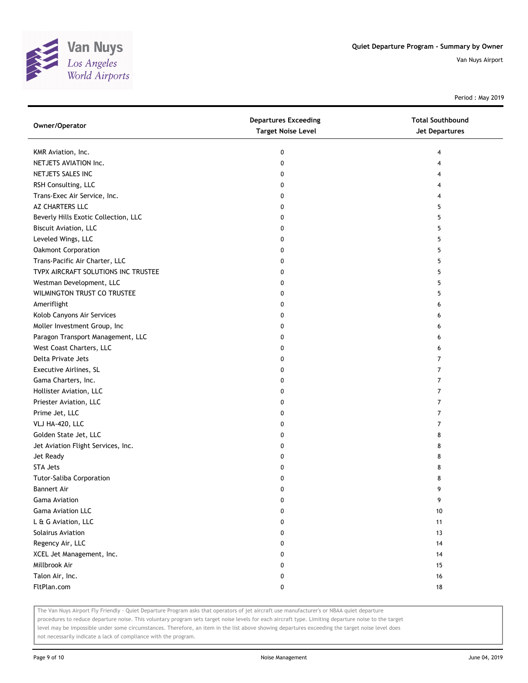

Period : May 2019

| Owner/Operator                       | <b>Departures Exceeding</b><br><b>Target Noise Level</b> | <b>Total Southbound</b><br>Jet Departures |
|--------------------------------------|----------------------------------------------------------|-------------------------------------------|
| KMR Aviation, Inc.                   | 0                                                        | 4                                         |
| NETJETS AVIATION Inc.                | 0                                                        | 4                                         |
| NETJETS SALES INC                    | 0                                                        | 4                                         |
| RSH Consulting, LLC                  | 0                                                        | 4                                         |
| Trans-Exec Air Service, Inc.         | 0                                                        | 4                                         |
| AZ CHARTERS LLC                      | 0                                                        | 5                                         |
| Beverly Hills Exotic Collection, LLC | 0                                                        | 5                                         |
| Biscuit Aviation, LLC                | 0                                                        | 5                                         |
| Leveled Wings, LLC                   | 0                                                        | 5                                         |
| Oakmont Corporation                  | 0                                                        | 5                                         |
| Trans-Pacific Air Charter, LLC       | 0                                                        | 5                                         |
| TVPX AIRCRAFT SOLUTIONS INC TRUSTEE  | 0                                                        | 5                                         |
| Westman Development, LLC             | 0                                                        | 5                                         |
| WILMINGTON TRUST CO TRUSTEE          | 0                                                        | 5                                         |
| Ameriflight                          | 0                                                        | 6                                         |
| Kolob Canyons Air Services           | 0                                                        | 6                                         |
| Moller Investment Group, Inc         | 0                                                        | 6                                         |
| Paragon Transport Management, LLC    | 0                                                        | 6                                         |
| West Coast Charters, LLC             | 0                                                        | 6                                         |
| Delta Private Jets                   | 0                                                        | $\overline{7}$                            |
| Executive Airlines, SL               | 0                                                        | $\overline{7}$                            |
| Gama Charters, Inc.                  | 0                                                        | $\overline{7}$                            |
| Hollister Aviation, LLC              | 0                                                        | $\overline{7}$                            |
| Priester Aviation, LLC               | 0                                                        | $\overline{7}$                            |
| Prime Jet, LLC                       | 0                                                        | 7                                         |
| VLJ HA-420, LLC                      | 0                                                        | 7                                         |
| Golden State Jet, LLC                | 0                                                        | 8                                         |
| Jet Aviation Flight Services, Inc.   | 0                                                        | 8                                         |
| Jet Ready                            | 0                                                        | 8                                         |
| <b>STA Jets</b>                      | 0                                                        | 8                                         |
| <b>Tutor-Saliba Corporation</b>      | 0                                                        | 8                                         |
| <b>Bannert Air</b>                   | 0                                                        | 9                                         |
| Gama Aviation                        | 0                                                        | 9                                         |
| <b>Gama Aviation LLC</b>             | 0                                                        | 10                                        |
| L & G Aviation, LLC                  | 0                                                        | 11                                        |
| Solairus Aviation                    | 0                                                        | 13                                        |
| Regency Air, LLC                     | 0                                                        | 14                                        |
| XCEL Jet Management, Inc.            | 0                                                        | 14                                        |
| Millbrook Air                        | 0                                                        | 15                                        |
| Talon Air, Inc.                      | 0                                                        | 16                                        |
| FltPlan.com                          | 0                                                        | 18                                        |

The Van Nuys Airport Fly Friendly - Quiet Departure Program asks that operators of jet aircraft use manufacturer's or NBAA quiet departure